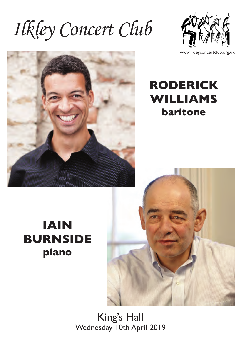Ilkley Concert Club



www.ilkleyconcertclub.org.uk





# **IAIN BURNSIDE piano**



King's Hall Wednesday 10th April 2019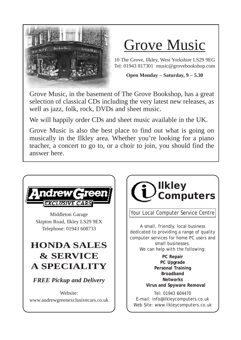

# Grove Music

10 The Grove, Ilkley, West Yorkshire LS29 9EG Tel: 01943 817301 music@grovebookshop.com

#### **Open Monday – Saturday, 9 – 5.30**

Grove Music, in the basement of The Grove Bookshop, has a great selection of classical CDs including the very latest new releases, as well as jazz, folk, rock, DVDs and sheet music.

We will happily order CDs and sheet music available in the UK.

Grove Music is also the best place to find out what is going on musically in the Ilkley area. Whether you're looking for a piano teacher, a concert to go to, or a choir to join, you should find the answer here.





A small, friendly, local business dedicated to providing a range of quality computer services for home PC users and small businesses. We can help with the following:

**PC Repair PC Upgrade Personal Training Broadband Networks Virus and Spyware Removal**

Tel: 01943 604470 E-mail: info@ilkleycomputers.co.uk Web Site: www.ilkleycomputers.co.uk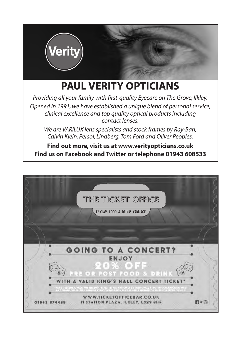

# **PAUL VERITY OPTICIANS**

*Providing all your family with first-quality Eyecare on The Grove, Ilkley. Opened in 1991, we have established a unique blend of personal service, clinical excellence and top quality optical products including contact lenses.*

*We are VARILUX lens specialists and stock frames by Ray-Ban, Calvin Klein, Persol, Lindberg, Tom Ford and Oliver Peoples.*

**Find out more, visit us at www.verityopticians.co.uk Find us on Facebook and Twitter or telephone 01943 608533** 

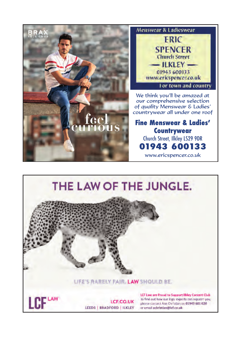

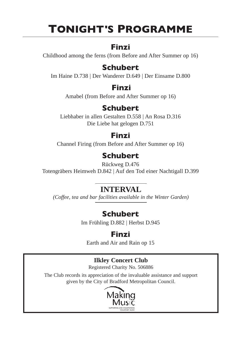# **TONIGHT'S PROGRAMME**

## **Finzi**

Childhood among the ferns (from Before and After Summer op 16)

## **Schubert**

Im Haine D.738 | Der Wanderer D.649 | Der Einsame D.800

## **Finzi**

Amabel (from Before and After Summer op 16)

## **Schubert**

Liebhaber in allen Gestalten D.558 | An Rosa D.316 Die Liebe hat gelogen D.751

## **Finzi**

Channel Firing (from Before and After Summer op 16)

# **Schubert**

Rückweg D.476

Totengräbers Heimweh D.842 | Auf den Tod einer Nachtigall D.399

## **INTERVAL**

*(Coffee, tea and bar facilities available in the Winter Garden)*

## **Schubert**

Im Frühling D.882 | Herbst D.945

## **Finzi**

Earth and Air and Rain op 15

## **Ilkley Concert Club**

Registered Charity No. 506886

The Club records its appreciation of the invaluable assistance and support given by the City of Bradford Metropolitan Council.

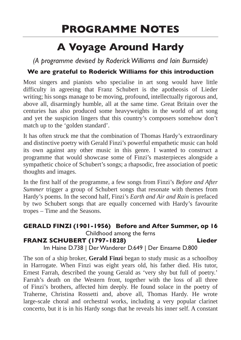# **PROGRAMME NOTES**

# **A Voyage Around Hardy**

*(A programme devised by Roderick Williams and Iain Burnside)*

### **We are grateful to Roderick Williams for this introduction**

Most singers and pianists who specialise in art song would have little difficulty in agreeing that Franz Schubert is the apotheosis of Lieder writing; his songs manage to be moving, profound, intellectually rigorous and, above all, disarmingly humble, all at the same time. Great Britain over the centuries has also produced some heavyweights in the world of art song and yet the suspicion lingers that this country's composers somehow don't match up to the 'golden standard'.

It has often struck me that the combination of Thomas Hardy's extraordinary and distinctive poetry with Gerald Finzi's powerful empathetic music can hold its own against any other music in this genre. I wanted to construct a programme that would showcase some of Finzi's masterpieces alongside a sympathetic choice of Schubert's songs; a rhapsodic, free association of poetic thoughts and images.

In the first half of the programme, a few songs from Finzi's *Before and After Summer* trigger a group of Schubert songs that resonate with themes from Hardy's poems. In the second half, Finzi's *Earth and Air and Rain* is prefaced by two Schubert songs that are equally concerned with Hardy's favourite tropes – Time and the Seasons.

### **GERALD FINZI (1901-1956) Before and After Summer, op 16** Childhood among the ferns **FRANZ SCHUBERT (1797-1828) Lieder**

Im Haine D.738 | Der Wanderer D.649 | Der Einsame D.800

The son of a ship broker, **Gerald Finzi** began to study music as a schoolboy in Harrogate. When Finzi was eight years old, his father died. His tutor, Ernest Farrah, described the young Gerald as 'very shy but full of poetry.' Farrah's death on the Western front, together with the loss of all three of Finzi's brothers, affected him deeply. He found solace in the poetry of Traherne, Christina Rossetti and, above all, Thomas Hardy. He wrote large-scale choral and orchestral works, including a very popular clarinet concerto, but it is in his Hardy songs that he reveals his inner self. A constant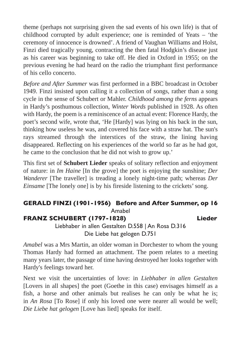theme (perhaps not surprising given the sad events of his own life) is that of childhood corrupted by adult experience; one is reminded of Yeats – 'the ceremony of innocence is drowned'. A friend of Vaughan Williams and Holst, Finzi died tragically young, contracting the then fatal Hodgkin's disease just as his career was beginning to take off. He died in Oxford in 1955; on the previous evening he had heard on the radio the triumphant first performance of his cello concerto.

*Before and After Summer* was first performed in a BBC broadcast in October 1949. Finzi insisted upon calling it a collection of songs, rather than a song cycle in the sense of Schubert or Mahler. *Childhood among the ferns* appears in Hardy's posthumous collection, *Winter Words* published in 1928. As often with Hardy, the poem is a reminiscence of an actual event: Florence Hardy, the poet's second wife, wrote that, 'He [Hardy] was lying on his back in the sun, thinking how useless he was, and covered his face with a straw hat. The sun's rays streamed through the interstices of the straw, the lining having disappeared. Reflecting on his experiences of the world so far as he had got, he came to the conclusion that he did not wish to grow up.'

This first set of **Schubert Lieder** speaks of solitary reflection and enjoyment of nature: in *Im Haine* [In the grove] the poet is enjoying the sunshine; *Der Wanderer* [The traveller] is treading a lonely night-time path; whereas *Der Einsame* [The lonely one] is by his fireside listening to the crickets' song.

#### **GERALD FINZI (1901-1956) Before and After Summer, op 16** Amabel

### **FRANZ SCHUBERT (1797-1828) Lieder**

Liebhaber in allen Gestalten D.558 | An Rosa D.316 Die Liebe hat gelogen D.751

*Amabel* was a Mrs Martin, an older woman in Dorchester to whom the young Thomas Hardy had formed an attachment. The poem relates to a meeting many years later, the passage of time having destroyed her looks together with Hardy's feelings toward her.

Next we visit the uncertainties of love: in *Liebhaber in allen Gestalten* [Lovers in all shapes] the poet (Goethe in this case) envisages himself as a fish, a horse and other animals but realises he can only be what he is; in *An Rosa* [To Rose] if only his loved one were nearer all would be well; *Die Liebe hat gelogen* [Love has lied] speaks for itself.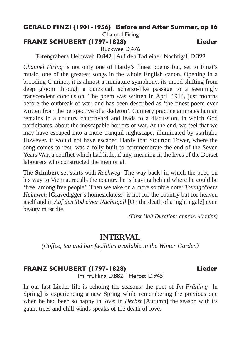### **GERALD FINZI (1901-1956) Before and After Summer, op 16**

Channel Firing

**FRANZ SCHUBERT (1797-1828) Lieder**

Rückweg D.476

Totengräbers Heimweh D.842 | Auf den Tod einer Nachtigall D.399

*Channel Firing* is not only one of Hardy's finest poems but, set to Finzi's music, one of the greatest songs in the whole English canon. Opening in a brooding C minor, it is almost a miniature symphony, its mood shifting from deep gloom through a quizzical, scherzo-like passage to a seemingly transcendent conclusion. The poem was written in April 1914, just months before the outbreak of war, and has been described as 'the finest poem ever written from the perspective of a skeleton'. Gunnery practice animates human remains in a country churchyard and leads to a discussion, in which God participates, about the inescapable horrors of war. At the end, we feel that we may have escaped into a more tranquil nightscape, illuminated by starlight. However, it would not have escaped Hardy that Stourton Tower, where the song comes to rest, was a folly built to commemorate the end of the Seven Years War, a conflict which had little, if any, meaning in the lives of the Dorset labourers who constructed the memorial.

The **Schubert** set starts with *Rückweg* [The way back] in which the poet, on his way to Vienna, recalls the country he is leaving behind where he could be 'free, among free people'. Then we take on a more sombre note: *Totengräbers Heimweh* [Gravedigger's homesickness] is not for the country but for heaven itself and in *Auf den Tod einer Nachtigall* [On the death of a nightingale] even beauty must die.

*(First Half Duration: approx. 40 mins)* 

## **INTERVAL**

*(Coffee, tea and bar facilities available in the Winter Garden)*

### **FRANZ SCHUBERT (1797-1828) Lieder**

Im Frühling D.882 | Herbst D.945

In our last Lieder life is echoing the seasons: the poet of *Im Frühling* [In Spring] is experiencing a new Spring while remembering the previous one when he had been so happy in love; in *Herbst* [Autumn] the season with its gaunt trees and chill winds speaks of the death of love.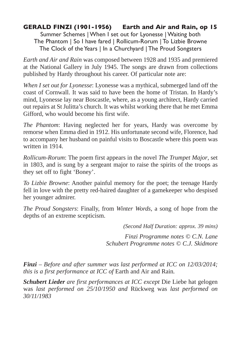### **GERALD FINZI (1901-1956) Earth and Air and Rain, op 15**

Summer Schemes | When I set out for Lyonesse | Waiting both The Phantom | So I have fared | Rollicum-Rorum | To Lizbie Browne The Clock of the Years | In a Churchyard | The Proud Songsters

*Earth and Air and Rain* was composed between 1928 and 1935 and premiered at the National Gallery in July 1945. The songs are drawn from collections published by Hardy throughout his career. Of particular note are:

*When I set out for Lyonesse*: Lyonesse was a mythical, submerged land off the coast of Cornwall. It was said to have been the home of Tristan. In Hardy's mind, Lyonesse lay near Boscastle, where, as a young architect, Hardy carried out repairs at St Julitta's church. It was whilst working there that he met Emma Gifford, who would become his first wife.

*The Phantom*: Having neglected her for years, Hardy was overcome by remorse when Emma died in 1912. His unfortunate second wife, Florence, had to accompany her husband on painful visits to Boscastle where this poem was written in 1914.

*Rollicum-Rorum*: The poem first appears in the novel *The Trumpet Major*, set in 1803, and is sung by a sergeant major to raise the spirits of the troops as they set off to fight 'Boney'.

*To Lizbie Browne*: Another painful memory for the poet; the teenage Hardy fell in love with the pretty red-haired daughter of a gamekeeper who despised her younger admirer.

*The Proud Songsters*: Finally, from *Winter Words*, a song of hope from the depths of an extreme scepticism.

*(Second Half Duration: approx. 39 mins)*

*Finzi Programme notes © C.N. Lane Schubert Programme notes © C.J. Skidmore*

*Finzi – Before and after summer was last performed at ICC on 12/03/2014; this is a first performance at ICC of* Earth and Air and Rain*.*

*Schubert Lieder are first performances at ICC except* Die Liebe hat gelogen was *last performed on 25/10/1950 and* Rückweg was *last performed on 30/11/1983*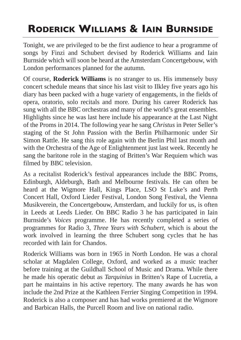# **RODERICK WILLIAMS & IAIN BURNSIDE**

Tonight, we are privileged to be the first audience to hear a programme of songs by Finzi and Schubert devised by Roderick Williams and Iain Burnside which will soon be heard at the Amsterdam Concertgebouw, with London performances planned for the autumn.

Of course, **Roderick Williams** is no stranger to us. His immensely busy concert schedule means that since his last visit to Ilkley five years ago his diary has been packed with a huge variety of engagements, in the fields of opera, oratorio, solo recitals and more. During his career Roderick has sung with all the BBC orchestras and many of the world's great ensembles. Highlights since he was last here include his appearance at the Last Night of the Proms in 2014. The following year he sang *Christus* in Peter Seller's staging of the St John Passion with the Berlin Philharmonic under Sir Simon Rattle. He sang this role again with the Berlin Phil last month and with the Orchestra of the Age of Enlightenment just last week. Recently he sang the baritone role in the staging of Britten's War Requiem which was filmed by BBC television.

As a recitalist Roderick's festival appearances include the BBC Proms, Edinburgh, Aldeburgh, Bath and Melbourne festivals. He can often be heard at the Wigmore Hall, Kings Place, LSO St Luke's and Perth Concert Hall, Oxford Lieder Festival, London Song Festival, the Vienna Musikverein, the Concertgebouw, Amsterdam, and luckily for us, is often in Leeds at Leeds Lieder. On BBC Radio 3 he has participated in Iain Burnside's *Voices* programme. He has recently completed a series of programmes for Radio 3, *Three Years with Schubert*, which is about the work involved in learning the three Schubert song cycles that he has recorded with Iain for Chandos.

Roderick Williams was born in 1965 in North London. He was a choral scholar at Magdalen College, Oxford, and worked as a music teacher before training at the Guildhall School of Music and Drama. While there he made his operatic debut as *Tarquinius* in Britten's Rape of Lucretia, a part he maintains in his active repertory. The many awards he has won include the 2nd Prize at the Kathleen Ferrier Singing Competition in 1994. Roderick is also a composer and has had works premiered at the Wigmore and Barbican Halls, the Purcell Room and live on national radio.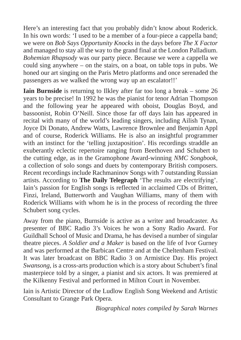Here's an interesting fact that you probably didn't know about Roderick. In his own words: 'I used to be a member of a four-piece a cappella band; we were on *Bob Says Opportunity Knocks* in the days before *The X Factor* and managed to stay all the way to the grand final at the London Palladium. *Bohemian Rhapsody* was our party piece. Because we were a cappella we could sing anywhere – on the stairs, on a boat, on table tops in pubs. We honed our art singing on the Paris Metro platforms and once serenaded the passengers as we walked the wrong way up an escalator!!'

**Iain Burnside** is returning to Ilkley after far too long a break – some 26 years to be precise! In 1992 he was the pianist for tenor Adrian Thompson and the following year he appeared with oboist, Douglas Boyd, and bassoonist, Robin O'Neill. Since those far off days Iain has appeared in recital with many of the world's leading singers, including Ailish Tynan, Joyce Di Donato, Andrew Watts, Lawrence Brownlee and Benjamin Appl and of course, Roderick Williams. He is also an insightful programmer with an instinct for the 'telling juxtaposition'. His recordings straddle an exuberantly eclectic repertoire ranging from Beethoven and Schubert to the cutting edge, as in the Gramophone Award-winning *NMC Songbook*, a collection of solo songs and duets by contemporary British composers. Recent recordings include Rachmaninov Songs with 7 outstanding Russian artists. According to **The Daily Telegraph** 'The results are electrifying'. Iain's passion for English songs is reflected in acclaimed CDs of Britten, Finzi, Ireland, Butterworth and Vaughan Williams, many of them with Roderick Williams with whom he is in the process of recording the three Schubert song cycles.

Away from the piano, Burnside is active as a writer and broadcaster. As presenter of BBC Radio 3's Voices he won a Sony Radio Award. For Guildhall School of Music and Drama, he has devised a number of singular theatre pieces. *A Soldier and a Maker* is based on the life of Ivor Gurney and was performed at the Barbican Centre and at the Cheltenham Festival. It was later broadcast on BBC Radio 3 on Armistice Day. His project *Swansong*, is a cross-arts production which is a story about Schubert's final masterpiece told by a singer, a pianist and six actors. It was premiered at the Kilkenny Festival and performed in Milton Court in November.

Iain is Artistic Director of the Ludlow English Song Weekend and Artistic Consultant to Grange Park Opera.

*Biographical notes compiled by Sarah Warnes*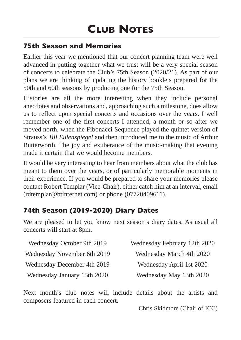## **75th Season and Memories**

Earlier this year we mentioned that our concert planning team were well advanced in putting together what we trust will be a very special season of concerts to celebrate the Club's 75th Season (2020/21). As part of our plans we are thinking of updating the history booklets prepared for the 50th and 60th seasons by producing one for the 75th Season.

Histories are all the more interesting when they include personal anecdotes and observations and, approaching such a milestone, does allow us to reflect upon special concerts and occasions over the years. I well remember one of the first concerts I attended, a month or so after we moved north, when the Fibonacci Sequence played the quintet version of Strauss's *Till Eulenspiegel* and then introduced me to the music of Arthur Butterworth. The joy and exuberance of the music-making that evening made it certain that we would become members.

It would be very interesting to hear from members about what the club has meant to them over the years, or of particularly memorable moments in their experience. If you would be prepared to share your memories please contact Robert Templar (Vice-Chair), either catch him at an interval, email (rdtemplar@btinternet.com) or phone (07720409611).

## **74th Season (2019-2020) Diary Dates**

We are pleased to let you know next season's diary dates. As usual all concerts will start at 8pm.

| Wednesday October 9th 2019  | Wednesday February 12th 2020 |
|-----------------------------|------------------------------|
| Wednesday November 6th 2019 | Wednesday March 4th 2020     |
| Wednesday December 4th 2019 | Wednesday April 1st 2020     |
| Wednesday January 15th 2020 | Wednesday May 13th 2020      |

Next month's club notes will include details about the artists and composers featured in each concert.

Chris Skidmore (Chair of ICC)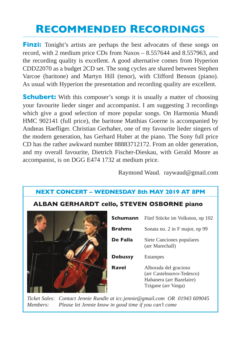# **RECOMMENDED RECORDINGS**

**Finzi:** Tonight's artists are perhaps the best advocates of these songs on record, with 2 medium price CDs from Naxos – 8.557644 and 8.557963, and the recording quality is excellent. A good alternative comes from Hyperion CDD22070 as a budget 2CD set. The song cycles are shared between Stephen Varcoe (baritone) and Martyn Hill (tenor), with Clifford Benson (piano). As usual with Hyperion the presentation and recording quality are excellent.

**Schubert:** With this composer's songs it is usually a matter of choosing your favourite lieder singer and accompanist. I am suggesting 3 recordings which give a good selection of more popular songs. On Harmonia Mundi HMC 902141 (full price), the baritone Matthias Goerne is accompanied by Andreas Haefliger. Christian Gerhaher, one of my favourite lieder singers of the modern generation, has Gerhard Huber at the piano. The Sony full price CD has the rather awkward number 88883712172. From an older generation, and my overall favourite, Dietrich Fischer-Dieskau, with Gerald Moore as accompanist, is on DGG E474 1732 at medium price.

Raymond Waud. raywaud@gmail.com

### **NEXT CONCERT – WEDNESDAY 8th MAY 2019 AT 8PM**

### **ALBAN GERHARDT cello, STEVEN OSBORNE piano**



| Schumann       | Fünf Stücke im Volkston, op 102                                                                       |
|----------------|-------------------------------------------------------------------------------------------------------|
| <b>Brahms</b>  | Sonata no. 2 in F major, op 99                                                                        |
| De Falla       | Siete Canciones populares<br>(arr Marechall)                                                          |
| <b>Debussy</b> | <b>Estampes</b>                                                                                       |
| Ravel          | Alborada del gracioso<br>(arr Castelnuovo-Tedesco)<br>Habanera (arr Bazelaire)<br>Tzigane (arr Varga) |

*Ticket Sales: Contact Jennie Rundle at icc.jennie@gmail.com OR 01943 609045 Members: Please let Jennie know in good time if you can't come*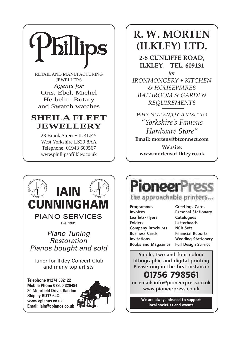

RETAIL AND MANUFACTURING **JEWELLERS** *Agents for* Oris, Ebel, Michel Herbelin, Rotary and Swatch watches

## **SHEILA FLEET JEWELLERY**

23 Brook Street • ILKLEY West Yorkshire LS29 8AA Telephone: 01943 609567 www.phillipsofilkley.co.uk

# **R. W. MORTEN (ILKLEY) LTD.**

**2-8 CUNLIFFE ROAD, ILKLEY. TEL. 609131**

*for IRONMONGERY • KITCHEN & HOUSEWARES BATHROOM & GARDEN REQUIREMENTS*

*WHY NOT ENJOY A VISIT TO "Yorkshire's Famous Hardware Store"* **Email: mortens@btconnect.com**

**Website: www.mortensofilkley.co.uk**



**Pioneer** 

### the approachable printers...

- **Programmes** Invoices Leaflets/Flyers Folders Company Brochures Business Cards Invitations Books and Magazines
- Greetings Cards Personal Stationery **Catalogues** Letterheads NCR Sets Financial Reports Wedding Stationery Full Design Service

Single, two and four colour lithographic and digital printing Please ring in the first instance:

## **01756 798561**

or email: info@pioneerpress.co.uk www.pioneerpress.co.uk

> **We are always pleased to support local societies and events**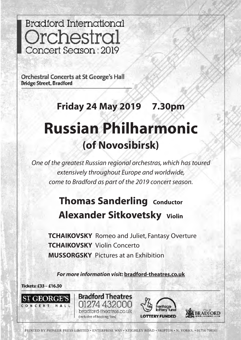**Bradford International** Orchestral Concert Season: 2019

**Orchestral Concerts at St George's Hall Bridge Street, Bradford** 

# **Friday 24 May 2019 7.30pm Russian Philharmonic**

# **(of Novosibirsk)**

*One of the greatest Russian regional orchestras, which has toured extensively throughout Europe and worldwide, come to Bradford as part of the 2019 concert season.*

# **Thomas Sanderling Conductor Alexander Sitkovetsky Violin**

**TCHAIKOVSKY** Romeo and Juliet, Fantasy Overture **TCHAIKOVSKY** Violin Concerto **MUSSORGSKY** Pictures at an Exhibition

*For more information visit:* **bradford-theatres.co.uk**

Tickets: £33 - £16.50



bradford-theatres.co.uk (Inclusive of booking fees)

**Bradford Theatres** 

01274 432000



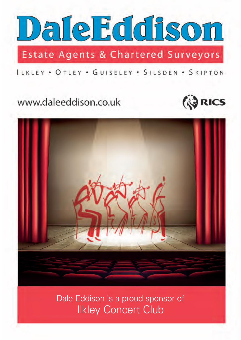

Estate Agents & Chartered Surveyors

ILKLEY . OTLEY . GUISELEY . SILSDEN . SKIPTON

# www.daleeddison.co.uk





Dale Eddison is a proud sponsor of Ilkley Concert Club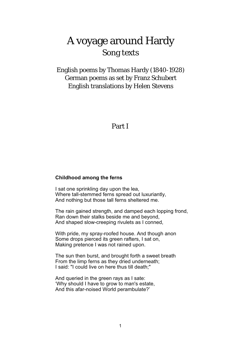# A voyage around Hardy Song texts

English poems by Thomas Hardy (1840-1928) German poems as set by Franz Schubert **English translations by Helen Stevens** 

### Part I

#### Childhood among the ferns

I sat one sprinkling day upon the lea. Where tall-stemmed ferns spread out luxuriantly, And nothing but those tall ferns sheltered me.

The rain gained strength, and damped each lopping frond, Ran down their stalks beside me and bevond. And shaped slow-creeping rivulets as I conned.

With pride, my spray-roofed house. And though anon Some drops pierced its green rafters, I sat on, Making pretence I was not rained upon.

The sun then burst, and brought forth a sweet breath From the limp ferns as they dried underneath; I said: "I could live on here thus till death:"

And queried in the green rays as I sate: 'Why should I have to grow to man's estate, And this afar-noised World perambulate?'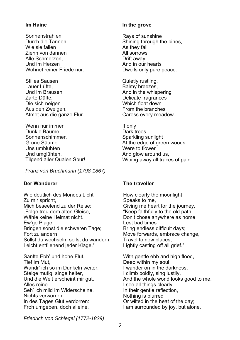#### Im Haine

- Sonnenstrahlen Durch die Tannen. Wie sie fallen Ziehn von dannen Alle Schmerzen. Und im Herzen Wohnet reiner Friede nur
- **Stilles Sausen** Lauer Lüfte. Und im Brausen Zarte Düfte, Die sich neigen Aus den Zweigen, Atmet aus die ganze Flur.
- Wenn nur immer Dunkle Bäume Sonnenschimmer, Grüne Säume Uns umblühten Und umglühten, Tilgend aller Qualen Spur!

Franz von Bruchmann (1798-1867)

#### Der Wanderer

Wie deutlich des Mondes Licht Zu mir spricht, Mich beseelend zu der Reise: "Folge treu dem alten Gleise. Wähle keine Heimat nicht. Ew'ge Plage Bringen sonst die schweren Tage; Fort zu andern Sollst du wechseln, sollst du wandern, Leicht entfliehend jeder Klage."

Sanfte Ebb' und hohe Flut, Tief im Mut. Wandr' ich so im Dunkeln weiter, Steige mutig, singe heiter, Und die Welt erscheint mir gut. Alles reine Seh' ich mild im Widerscheine, Nichts verworren In des Tages Glut verdorren: Froh umgeben, doch alleine.

#### In the grove

Ravs of sunshine Shining through the pines, As they fall All sorrows Drift awav. And in our hearts Dwells only pure peace.

Quietly rustling. Balmy breezes. And in the whispering Delicate fragrances Which float down From the branches Caress every meadow..

If only Dark trees Sparkling sunlight At the edge of green woods Were to flower And glow around us, Wiping away all traces of pain.

#### The traveller

How clearly the moonlight Speaks to me, Giving me heart for the journey, "Keep faithfully to the old path, Don't chose anywhere as home Lest bad times Bring endless difficult days; Move forwards, embrace change, Travel to new places, Lightly casting off all grief."

With gentle ebb and high flood, Deep within my soul I wander on in the darkness. I climb boldly, sing lustily, And the whole world looks good to me. I see all things clearly In their gentle reflection, Nothing is blurred Or wilted in the heat of the day; I am surrounded by joy, but alone.

Friedrich von Schlegel (1772-1829)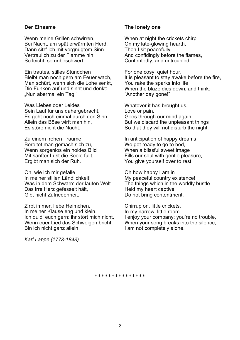#### Der Einsame

Wenn meine Grillen schwirren. Bei Nacht, am spät erwärmten Herd, Dann sitz' ich mit vergnügtem Sinn Vertraulich zu der Flamme hin, So leicht, so unbeschwert.

Ein trautes, stilles Stündchen Bleibt man noch gern am Feuer wach, Man schürt, wenn sich die Lohe senkt, Die Funken auf und sinnt und denkt: "Nun abermal ein Tag!"

Was Liebes oder Leides Sein Lauf für uns dahergebracht. Es geht noch einmal durch den Sinn; Allein das Böse wirft man hin. Es störe nicht die Nacht.

Zu einem frohen Traume, Bereitet man gemach sich zu, Wenn sorgentos ein holdes Bild Mit sanfter Lust die Seele füllt. Ergibt man sich der Ruh.

Oh, wie ich mir gefalle In meiner stillen I ändlichkeit! Was in dem Schwarm der lauten Welt Das irre Herz gefesselt hält, Gibt nicht Zufriedenheit.

Zirpt immer, liebe Heimchen, In meiner Klause eng und klein. Ich duld' euch gern: ihr stört mich nicht, Wenn euer Lied das Schweigen bricht, Bin ich nicht ganz allein.

The lonely one

When at night the crickets chirp On my late-glowing hearth, Then I sit peacefully And confidingly before the flames, Contentedly, and untroubled.

For one cosy, quiet hour, It is pleasant to stay awake before the fire, You rake the sparks into life When the blaze dies down, and think: "Another day gone!"

Whatever it has brought us, Love or pain. Goes through our mind again; But we discard the unpleasant things So that they will not disturb the night.

In anticipation of happy dreams We get ready to go to bed, When a blissful sweet image Fills our soul with gentle pleasure, You give yourself over to rest.

Oh how happy I am in My peaceful country existence! The things which in the worldly bustle Held my heart captive Do not bring contentment.

Chirrup on, little crickets, In my narrow, little room. I enjoy your company: you're no trouble, When your song breaks into the silence, I am not completely alone.

Karl Lappe (1773-1843)

\*\*\*\*\*\*\*\*\*\*\*\*\*\*\*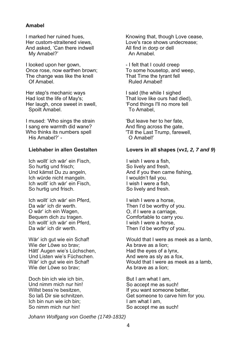#### **Amahel**

I marked her ruined hues, Her custom-straitened views. And asked. 'Can there indwell My Amabel?'

I looked upon her gown, Once rose, now earthen brown; The change was like the knell Of Amahel

Her step's mechanic ways Had lost the life of May's: Her laugh, once sweet in swell. Spoilt Amabel.

I mused: 'Who sings the strain I sang ere warmth did wane? Who thinks its numbers spell His Amahel?' -

#### Liebhaber in allen Gestalten

Ich wollt' ich wär' ein Fisch. So hurtig und frisch; Und kämst Du zu angeln, Ich würde nicht mangeln. Ich wollt' ich wär' ein Fisch. So hurtig und frisch.

Ich wollt' ich wär' ein Pferd. Da wär' ich dir werth. O wär' ich ein Wagen, Bequem dich zu tragen. Ich wollt' ich wär' ein Pferd. Da wär' ich dir werth.

Wär' ich gut wie ein Schaf! Wie der Löwe so brav; Hätt' Augen wie's Lüchschen. Und Listen wie's Füchschen. Wär' ich gut wie ein Schaf! Wie der Löwe so bray:

Doch bin ich wie ich bin. Und nimm mich nur hin! Willst bess're besitzen, So laß Dir sie schnitzen Ich bin nun wie ich bin: So nimm mich nur hin!

Knowing that, though Love cease,<br>Love's race shows undecrease; All find in dorp or dell An Amahel

- I felt that I could creep To some housetop, and weep, That Time the tyrant fell Ruled Amabell

I said (the while I sighed That love like ours had died), 'Fond things I'll no more tell To Amabel.

'But leave her to her fate. And fling across the gate, 'Till the Last Trump, farewell,  $\bigcap$  Amahell'

#### Lovers in all shapes (vv1, 2, 7 and 9)

I wish I were a fish, So lively and fresh, And if you then came fishing, I wouldn't fail vou. I wish I were a fish. So lively and fresh.

I wish I were a horse. Then I'd be worthy of you. O, if I were a carriage, Comfortable to carry you. I wish I were a horse. Then I'd be worthy of you.

Would that I were as meek as a lamb, As brave as a lion; Had the eyes of a lynx, And were as sly as a fox, Would that I were as meek as a lamb, As brave as a lion:

But I am what I am. So accept me as such! If you want someone better, Get someone to carve him for you. I am what I am. So accept me as such!

Johann Wolfgang von Goethe (1749-1832)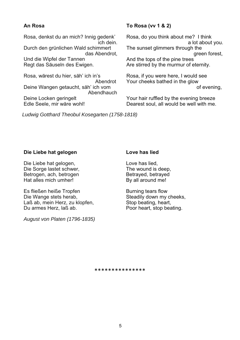#### An Rosa

Rosa, denkst du an mich? Innig gedenk' ich dein. Durch den grünlichen Wald schimmert das Abendrot. Und die Winfel der Tannen Regt das Säuseln des Ewigen.

Rosa, wärest du hier, säh' ich in's Abendrot Deine Wangen getaucht, säh' ich vom Abendhauch Deine Locken geringelt Edle Seele, mir wäre wohl!

#### To Rosa (vv 1 & 2)

Rosa, do you think about me? I think a lot about you. The sunset alimmers through the areen forest. And the tops of the pine trees Are stirred by the murmur of eternity.

Rosa, if you were here. I would see Your cheeks bathed in the glow of evening,

Your hair ruffled by the evening breeze Dearest soul, all would be well with me.

Ludwig Gotthard Theobul Kosegarten (1758-1818)

#### Die Liebe hat gelogen

Die Liebe hat gelogen, Die Sorge lastet schwer, Betrogen, ach, betrogen Hat alles mich umher!

Es fließen heiße Tropfen Die Wange stets herab, Laß ab, mein Herz, zu klopfen, Du armes Herz, laß ab.

August von Platen (1796-1835)

#### Love has lied

Love has lied, The wound is deep, Betrayed, betrayed By all around me!

Burning tears flow Steadily down my cheeks, Stop beating, heart, Poor heart, stop beating.

\*\*\*\*\*\*\*\*\*\*\*\*\*\*\*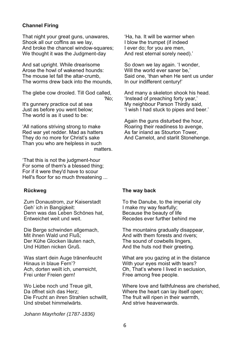#### **Channel Firing**

That night your great guns, unawares, Shook all our coffins as we lay. And broke the chancel window-squares; We thought it was the Judgment-day

And sat upright. While drearisome Arose the howl of wakened hounds: The mouse let fall the altar-crumb. The worms drew back into the mounds.

The glebe cow drooled. Till God called,

'No:

It's gunnery practice out at sea Just as before you went below; The world is as it used to be:

'All nations striving strong to make Red war yet redder. Mad as hatters They do no more for Christ's sake Than you who are helpless in such matters.

'That this is not the judament-hour For some of them's a blessed thing: For if it were they'd have to scour Hell's floor for so much threatening ...

#### **Rückweg**

Zum Donaustrom, zur Kaiserstadt Geh' ich in Bangigkeit: Denn was das Leben Schönes hat. Entweichet weit und weit.

Die Berge schwinden allgemach, Mit ihnen Wald und Fluß: Der Kühe Glocken läuten nach. Und Hütten nicken Gruß.

Was starrt dein Auge tränenfeucht Hinaus in blaue Fern'? Ach. dorten weilt ich. unerreicht. Frei unter Freien gern!

Wo Liebe noch und Treue gilt, Da öffnet sich das Herz: Die Frucht an ihren Strahlen schwillt. Und strebet himmelwärts.

'Ha, ha, It will be warmer when I blow the trumpet (if indeed I ever do; for you are men, And rest eternal sorely need).'

So down we lay again. 'I wonder, Will the world ever saner be.' Said one. 'than when He sent us under In our indifferent century!'

And many a skeleton shook his head. 'Instead of preaching forty year.' My neighbour Parson Thirdly said. 'I wish I had stuck to pipes and beer.'

Again the guns disturbed the hour, Roaring their readiness to avenge, As far inland as Stourton Tower. And Camelot, and starlit Stonehenge.

#### The way back

To the Danube, to the imperial city I make my way fearfully; Because the beauty of life Recedes ever further behind me

The mountains gradually disappear. And with them forests and rivers: The sound of cowbells lingers. And the huts nod their greeting.

What are you gazing at in the distance With your eves moist with tears? Oh. That's where I lived in seclusion. Free among free people.

Where love and faithfulness are cherished. Where the heart can lay itself open: The fruit will ripen in their warmth. And strive heavenwards.

Johann Mayrhofer (1787-1836)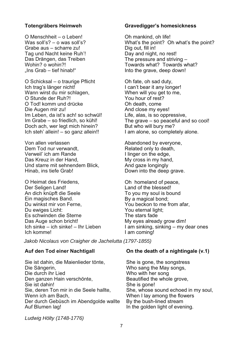#### Totengräbers Heimweh

O Menschheit - o Leben! Was soll's? – o was soll's? Grabe aus - scharre zu! Tag und Nacht keine Ruh'! Das Drängen, das Treiben Wohin? o wohin?! "Ins Grab - tief hinab!"

O Schicksal - o traurige Pflicht Ich trag's länger nicht! Wann wirst du mir schlagen, O Stunde der Ruh?! O Tod! komm und drücke Die Augen mir zu! Im Leben, da ist's ach! so schwül! Im Grabe - so friedlich, so kühl! Doch ach, wer legt mich hinein? Ich steh' allein! - so ganz allein!!

Von allen verlassen Dem Tod nur verwandt. Verweil' ich am Rande Das Kreuz in der Hand. Und starre mit sehnendem Blick, Hinab, ins tiefe Grab!

O Heimat des Friedens. Der Seligen Land! An dich knüpft die Seele Ein magisches Band. Du winkst mir von Ferne, Du ewiges Licht: Es schwinden die Sterne Das Auge schon bricht! Ich sinke - ich sinke! - Ihr Lieben Ich komme!

#### **Gravedigger's homesickness**

Oh mankind, oh life! What's the point? Oh what's the point? Dig out, fill in! Day and night, no rest! The pressure and striving  $-$ Towards what? Towards what? Into the grave, deep down!

Oh fate, oh sad duty, I can't bear it any longer! When will you get to me, You hour of rest? Oh death, come And close my eyes! Life, alas, is so oppressive, The grave - so peaceful and so cool! But who will bury me? I am alone, so completely alone.

Abandoned by everyone, Related only to death, I linger on the edge, My cross in my hand, And gaze longingly Down into the deep grave.

Oh homeland of peace, Land of the blessed! To you my soul is bound By a magical bond; You beckon to me from afar, You eternal light; The stars fade My eyes already grow dim! I am sinking, sinking - my dear ones I am coming!

Jakob Nicolaus von Craigher de Jachelutta (1797-1855)

#### Auf den Tod einer Nachtigall

Sie ist dahin, die Maienlieder tönte, Die Sängerin, Die durch ihr Lied Den ganzen Hain verschönte, Sie ist dahin! Sie, deren Ton mir in die Seele hallte, Wenn ich am Bach, Der durch Gebüsch im Abendgolde wallte Auf Blumen lag!

#### On the death of a nightingale (v.1)

She is gone, the songstress Who sang the May songs, Who with her song Beautified the whole grove, She is gone! She, whose sound echoed in my soul, When I lay among the flowers By the bush-lined stream In the golden light of evening.

Ludwig Hölty (1748-1776)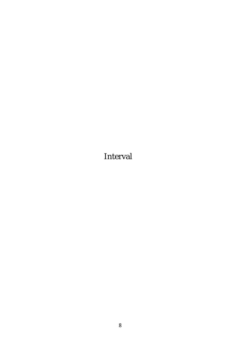**Interval**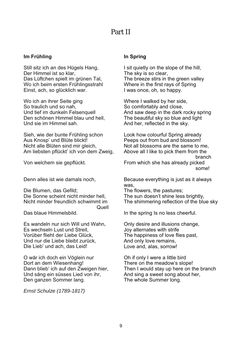### Part II

#### Im Frühling

Still sitz ich an des Hügels Hang, Der Himmel ist so klar. Das Lüftchen spielt im grünen Tal, Wo ich beim ersten Frühlingsstrahl Einst. ach. so glücklich war.

Wo ich an ihrer Seite ging So traulich und so nah. Und tief im dunkeln Felsenquell Den schönen Himmel blau und hell, Und sie im Himmel sah.

Sieh, wie der bunte Frühling schon Aus Knosp' und Blüte blickt! Nicht alle Blüten sind mir gleich, Am liebsten pflückt' ich von dem Zweig,

Von welchem sie gepflückt.

Denn alles ist wie damals noch,

Die Blumen, das Gefild; Die Sonne scheint nicht minder hell. Nicht minder freundlich schwimmt im  $O(1|A|)$ Das blaue Himmelsbild

Es wandeln nur sich Will und Wahn. Es wechseln Lust und Streit, Vorüber flieht der Liebe Glück. Und nur die Liebe bleibt zurück. Die Lieb' und ach. das Leid!

O wär ich doch ein Vöglein nur Dort an dem Wiesenhang! Dann blieb' ich auf den Zweigen hier, Und säng ein süsses Lied von ihr, Den ganzen Sommer lang.

Ernst Schulze (1789-1817)

#### **In Spring**

I sit quietly on the slope of the hill, The sky is so clear. The breeze stirs in the green valley Where in the first rays of Spring I was once, oh, so happy.

Where I walked by her side, So comfortably and close, And saw deep in the dark rocky spring The beautiful sky so blue and light And her, reflected in the sky.

Look how colourful Spring already Peeps out from bud and blossom! Not all blossoms are the same to me, Above all I like to pick them from the branch From which she has already picked somel

Because everything is just as it always was.

The flowers, the pastures; The sun doesn't shine less brightly, The shimmering reflection of the blue sky

In the spring Is no less cheerful.

Only desire and illusions change, Joy alternates with strife The happiness of love flies past, And only love remains, Love and, alas, sorrow!

Oh if only I were a little bird There on the meadow's slope! Then I would stay up here on the branch And sing a sweet song about her, The whole Summer long.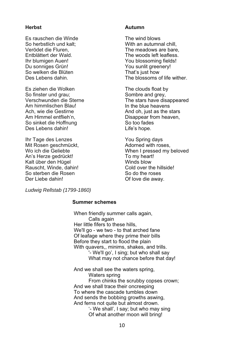#### **Herbst**

Es rauschen die Winde So herbstlich und kalt: Verödet die Fluren. Enthlättert der Wald Ihr blumigen Auen! Du sonniges Grün! So welken die Blüten Des Lebens dahin.

Es ziehen die Wolken So finster und grau: Verschwunden die Sterne Am himmlischen Blaul Ach, wie die Gestirne Am Himmel entflieh'n. So sinket die Hoffnung Des Lebens dahin!

Ihr Tage des Lenzes Mit Rosen geschmückt, Wo ich die Geliebte An's Herze gedrückt! Kalt über den Hügel Rauscht, Winde, dahin! So sterben die Rosen Der Liebe dahin!

#### **Autumn**

The wind blows With an autumnal chill. The meadows are bare. The woods left leafless You blossoming fields! You sunlit greenery! That's just how The blossoms of life wither.

The clouds float by Sombre and grev. The stars have disappeared In the blue heavens And oh, just as the stars Disappear from heaven, So too fades Life's hope.

You Spring days Adorned with roses. When I pressed my beloved To my heart! Winds blow Cold over the hillside! So do the roses Of love die away.

Ludwig Rellstab (1799-1860)

#### **Summer schemes**

When friendly summer calls again. Calls again Her little fifers to these hills, We'll go - we two - to that arched fane Of leafage where they prime their bills Before they start to flood the plain With quavers,, minims, shakes, and trills. '- We'll go', I sing; but who shall say

What may not chance before that day!

And we shall see the waters spring,

Waters spring

From chinks the scrubby copses crown; And we shall trace their oncreeping To where the cascade tumbles down And sends the bobbing growths aswing, And ferns not quite but almost drown.

'- We shall'. I say: but who may sing Of what another moon will bring!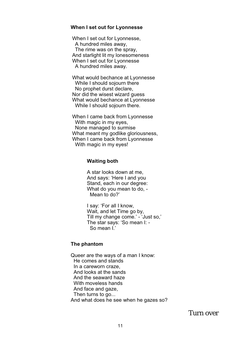#### When I set out for Lyonnesse

When I set out for Lyonnesse, A hundred miles away. The rime was on the spray, And starlight lit my lonesomeness When I set out for Lyonnesse A hundred miles away.

What would bechance at Lyonnesse While I should solourn there No prophet durst declare. Nor did the wisest wizard quess What would bechance at Lyonnesse While I should sojourn there.

When I came back from Lyonnesse With magic in my eyes, None managed to surmise What meant my godlike gloriousness, When I came back from Lyonnesse With magic in my eyes!

#### **Waiting both**

A star looks down at me. And savs: 'Here I and you Stand, each in our degree: What do vou mean to do, -Mean to do?'

I sav: 'For all I know. Wait, and let Time go by, Till my change come.' - 'Just so,' The star says: 'So mean I: - $Sn$  mean  $I'$ 

#### The phantom

Queer are the ways of a man I know: He comes and stands In a careworn craze And looks at the sands And the seaward haze With moveless hands And face and gaze, Then turns to go... And what does he see when he gazes so?

Turn over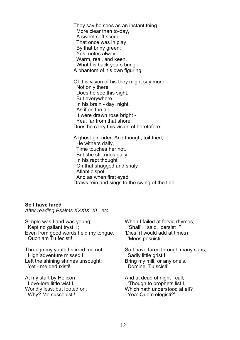They say he sees as an instant thing More clear than to-day, A sweet soft scene That once was in play By that briny green; Yes, notes alway Warm, real, and keen. What his back years bring -A phantom of his own figuring.

Of this vision of his they might say more: Not only there Does he see this sight, But everywhere In his brain - day, night, As if on the air It were drawn rose bright -Yea, far from that shore Does he carry this vision of heretofore:

A ghost-girl-rider. And though, toil-tried, He withers daily, Time touches her not, But she still rides gaily In his rapt thought On that shagged and shaly Atlantic spot, And as when first eyed Draws rein and sings to the swing of the tide.

#### So I have fared

After reading Psalms XXXIX, XL, etc.

Simple was I and was young; Kept no gallant tryst, I; Even from good words held my tongue, Quoniam Tu fecisti!

Through my youth I stirred me not. High adventure missed I, Left the shining shrines unsought; Yet - me deduxisti!

At my start by Helicon Love-lore little wist I, Worldly less; but footed on; Why? Me suscepisti!

When I failed at fervid rhymes, 'Shall', I said, 'persist I?' 'Dies' (I would add at times) 'Meos posuisti!'

So I have fared through many suns: Sadly little grist I Bring my mill, or any one's, Domine. Tu scisti!

And at dead of night I call; 'Though to prophets list I, Which hath understood at all? Yea: Quem elegisti?'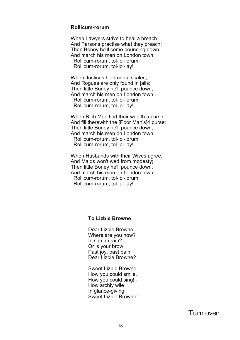#### Rollicum-rorum

When Lawyers strive to heal a breach And Parsons practise what they preach: Then Boney he'll come pouncing down, And march his men on London town! Rollicum-rorum, tol-lol-lorum. Rollicum-rorum. tol-lol-lav!

When Justices hold equal scales. And Roques are only found in jails: Then little Boney he'll pounce down. And march his men on London town! Rollicum-rorum. tol-lol-lorum. Rollicum-rorum, tol-lol-lay!

When Rich Men find their wealth a curse, And fill therewith the [Poor Man's]4 purse; Then little Boney he'll pounce down, And march his men on London town! Rollicum-rorum, tol-lol-lorum, Rollicum-rorum, tol-lol-lay!

When Husbands with their Wives agree, And Maids won't wed from modesty; Then little Boney he'll pounce down, And march his men on London town! Rollicum-rorum, tol-lol-lorum, Rollicum-rorum, tol-lol-lay!

#### **To Lizbie Browne**

Dear Lizbie Browne. Where are you now? In sun, in rain? -Or is your brow Past joy, past pain, Dear Lizhie Browne?

Sweet Lizbie Browne. How you could smile, How you could sing! -How archly wile In glance-giving. Sweet Lizbie Browne!

Turn over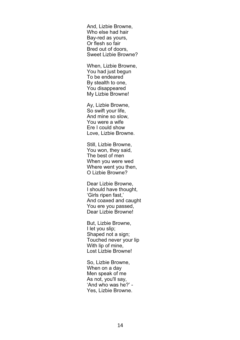And. Lizbie Browne. Who else had hair Bav-red as vours. Or flesh so fair Bred out of doors. Sweet Lizbie Browne?

When, Lizbie Browne, You had just begun To be endeared By stealth to one. You disappeared My Lizbie Browne!

Ay, Lizbie Browne, So swift your life, And mine so slow. You were a wife Ere I could show Love. Lizbie Browne.

Still. Lizbie Browne. You won, they said. The best of men When you were wed Where went you then, O Lizbie Browne?

Dear Lizhie Browne I should have thought. 'Girls ripen fast,' And coaxed and caught You ere you passed. Dear Lizbie Browne!

But, Lizbie Browne, I let you slip; Shaped not a sign: Touched never your lip With lip of mine. Lost Lizbie Browne!

So. Lizbie Browne. When on a day Men speak of me As not. you'll sav. 'And who was he?' -Yes. Lizbie Browne.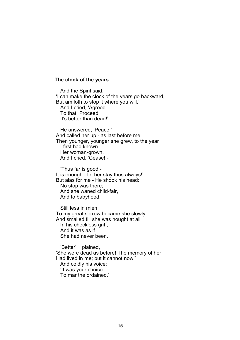#### The clock of the years

And the Spirit said, 'I can make the clock of the years go backward, But am loth to stop it where you will.' And I cried. 'Agreed To that, Proceed: It's better than dead!'

He answered. 'Peace:' And called her up - as last before me; Then younger, younger she grew, to the year I first had known Her woman-grown, And I cried, 'Cease! -

'Thus far is good -It is enough - let her stay thus always!' But alas for me - He shook his head: No stop was there: And she waned child-fair. And to babyhood.

Still less in mien To my great sorrow became she slowly, And smalled till she was nought at all In his checkless ariff: And it was as if She had never been

'Better'. I plained. 'She were dead as before! The memory of her Had lived in me: but it cannot now!' And coldly his voice: 'It was your choice To mar the ordained.'